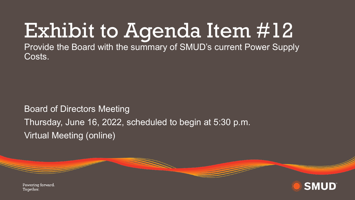## Exhibit to Agenda Item #12

Provide the Board with the summary of SMUD's current Power Supply Costs.

Board of Directors Meeting Thursday, June 16, 2022, scheduled to begin at 5:30 p.m. Virtual Meeting (online)

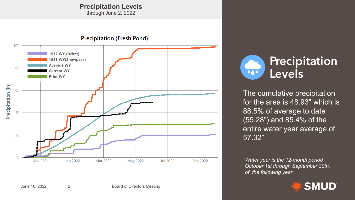## **Precipitation Levels**

through June 2, 2022





for the area is 48.93" which is 88.5% of average to date (55.28") and 85.4% of the entire water year average of 57.32"

**Precipitation** 

*Water year is the 12-month period October 1st through September 30th, of the following year*

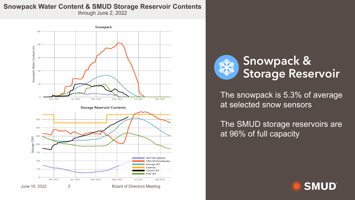## **Snowpack Water Content & SMUD Storage Reservoir Contents**

through June 2, 2022





The snowpack is 5.3% of average at selected snow sensors

The SMUD storage reservoirs are at 96% of full capacity